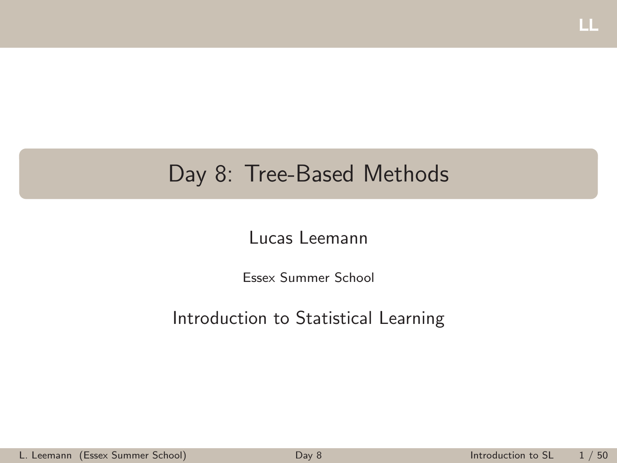# <span id="page-0-0"></span>Day 8: Tree-Based Methods

#### Lucas Leemann

Essex Summer School

#### Introduction to Statistical Learning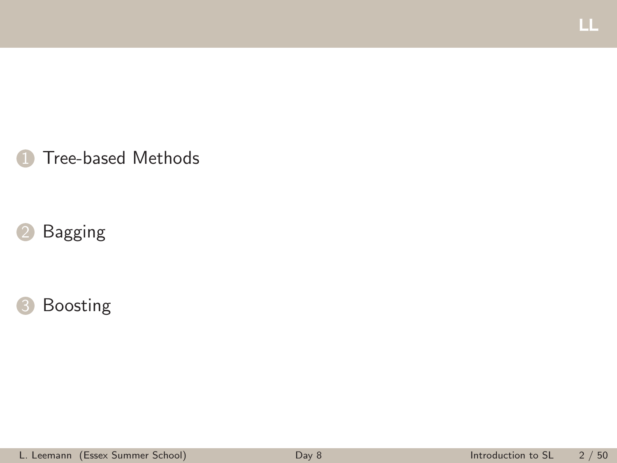#### **1** [Tree-based Methods](#page-2-0)

#### 2 [Bagging](#page-31-0)

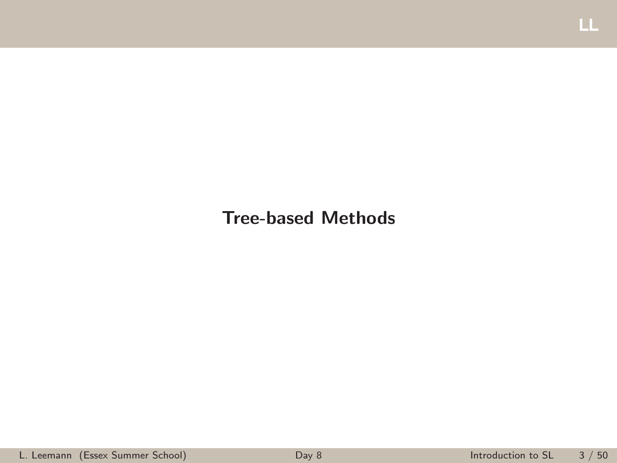#### <span id="page-2-0"></span>Tree-based Methods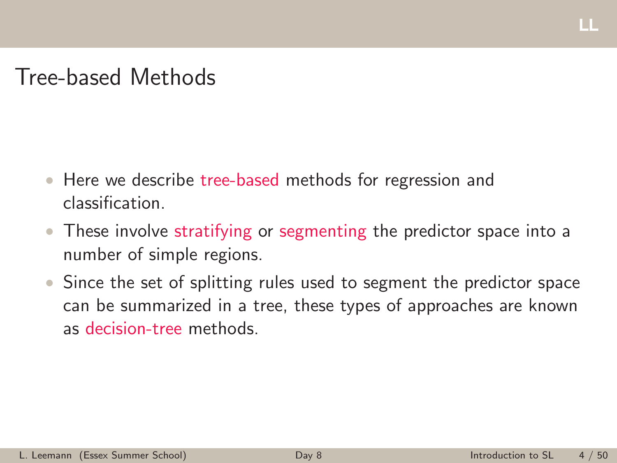### Tree-based Methods

- Here we describe tree-based methods for regression and classification.
- These involve stratifying or segmenting the predictor space into a number of simple regions.
- Since the set of splitting rules used to segment the predictor space can be summarized in a tree, these types of approaches are known as decision-tree methods.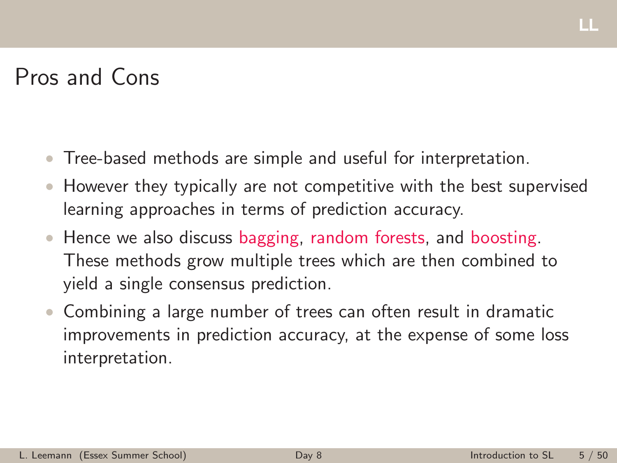### Pros and Cons

- Tree-based methods are simple and useful for interpretation.
- However they typically are not competitive with the best supervised learning approaches in terms of prediction accuracy.
- Hence we also discuss bagging, random forests, and boosting. These methods grow multiple trees which are then combined to yield a single consensus prediction.
- Combining a large number of trees can often result in dramatic improvements in prediction accuracy, at the expense of some loss interpretation.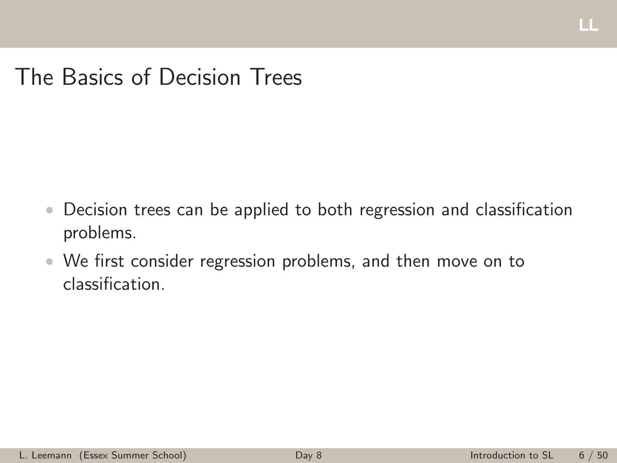#### LL

## The Basics of Decision Trees

- Decision trees can be applied to both regression and classification problems.
- We first consider regression problems, and then move on to classification.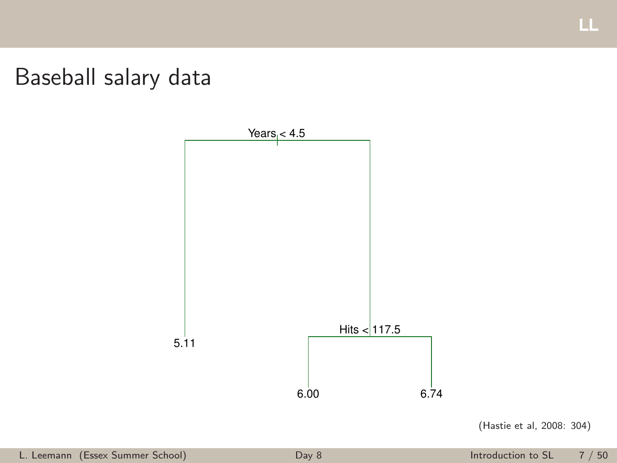Baseball salary data



(Hastie et al, 2008: 304)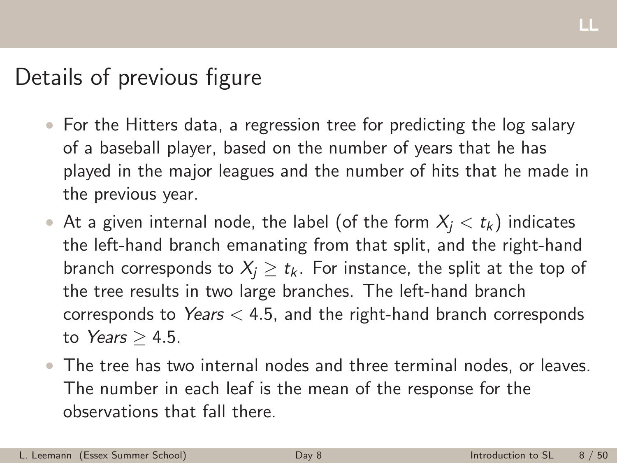## Details of previous figure

- For the Hitters data, a regression tree for predicting the log salary of a baseball player, based on the number of years that he has played in the major leagues and the number of hits that he made in the previous year.
- At a given internal node, the label (of the form  $X_i < t_k$ ) indicates the left-hand branch emanating from that split, and the right-hand branch corresponds to  $X_i \geq t_k$ . For instance, the split at the top of the tree results in two large branches. The left-hand branch corresponds to Years  $<$  4.5, and the right-hand branch corresponds to Years  $> 4.5$ .
- The tree has two internal nodes and three terminal nodes, or leaves. The number in each leaf is the mean of the response for the observations that fall there.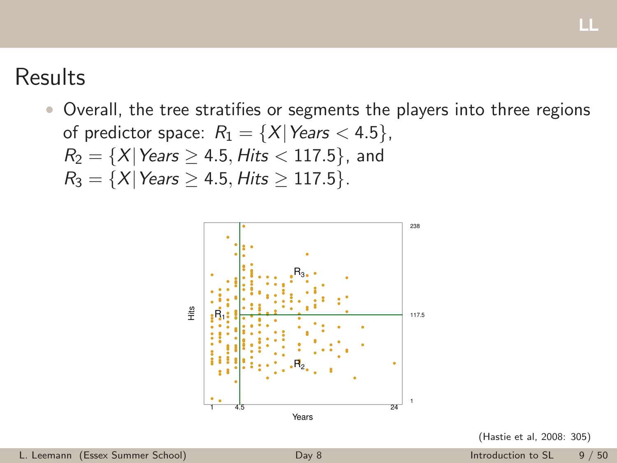## **Results**

• Overall, the tree stratifies or segments the players into three regions of predictor space:  $R_1 = \{X | Years < 4.5\},\$  $R_2 = \{X | \text{Years} \geq 4.5, \text{Hits} < 117.5 \}$ , and  $R_3 = \{X | \text{Years} \geq 4.5, \text{Hits} \geq 117.5 \}.$ 



(Hastie et al, 2008: 305)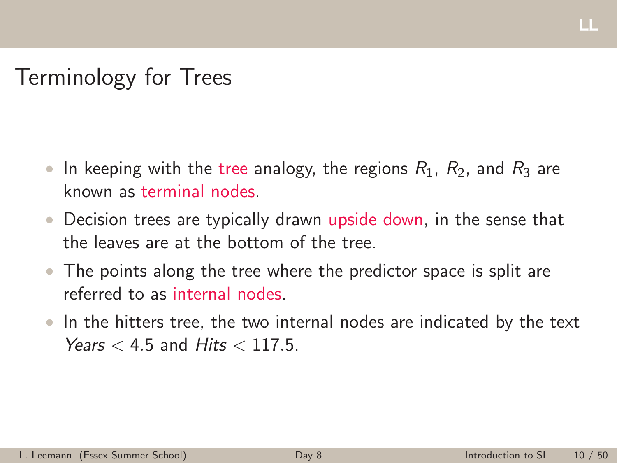## Terminology for Trees

- In keeping with the tree analogy, the regions  $R_1$ ,  $R_2$ , and  $R_3$  are known as terminal nodes.
- Decision trees are typically drawn upside down, in the sense that the leaves are at the bottom of the tree.
- The points along the tree where the predictor space is split are referred to as internal nodes.
- In the hitters tree, the two internal nodes are indicated by the text Years  $< 4.5$  and Hits  $< 117.5$ .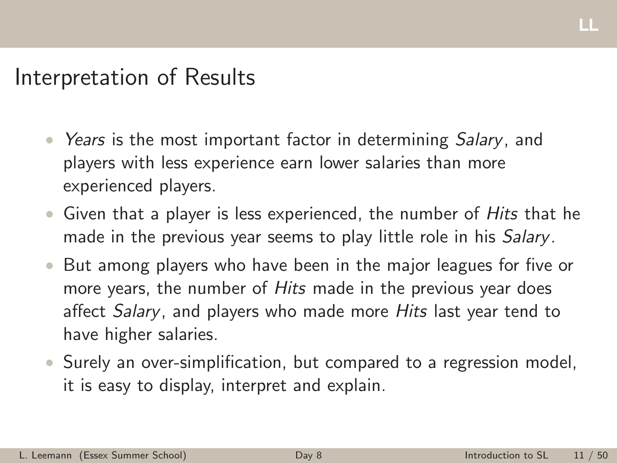#### Interpretation of Results

- Years is the most important factor in determining Salary, and players with less experience earn lower salaries than more experienced players.
- Given that a player is less experienced, the number of *Hits* that he made in the previous year seems to play little role in his Salary.
- But among players who have been in the major leagues for five or more vears, the number of Hits made in the previous year does affect Salary, and players who made more Hits last year tend to have higher salaries.
- Surely an over-simplification, but compared to a regression model, it is easy to display, interpret and explain.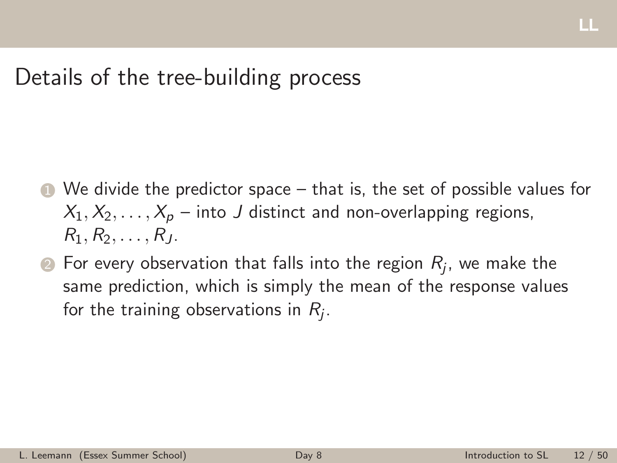#### LL

## Details of the tree-building process

- $\bullet$  We divide the predictor space that is, the set of possible values for  $X_1, X_2, \ldots, X_p$  – into J distinct and non-overlapping regions,  $R_1, R_2, \ldots, R_J$ .
- $\bullet$  For every observation that falls into the region  $R_j$ , we make the same prediction, which is simply the mean of the response values for the training observations in  $R_j$ .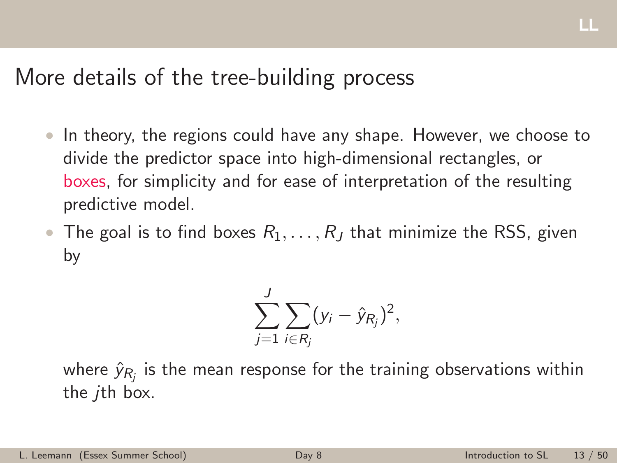## More details of the tree-building process

- In theory, the regions could have any shape. However, we choose to divide the predictor space into high-dimensional rectangles, or boxes, for simplicity and for ease of interpretation of the resulting predictive model.
- The goal is to find boxes  $R_1, \ldots, R_J$  that minimize the RSS, given by

$$
\sum_{j=1}^J\sum_{i\in R_j}(y_i-\hat{y}_{R_j})^2,
$$

where  $\hat{y}_{R_j}$  is the mean response for the training observations within the jth box.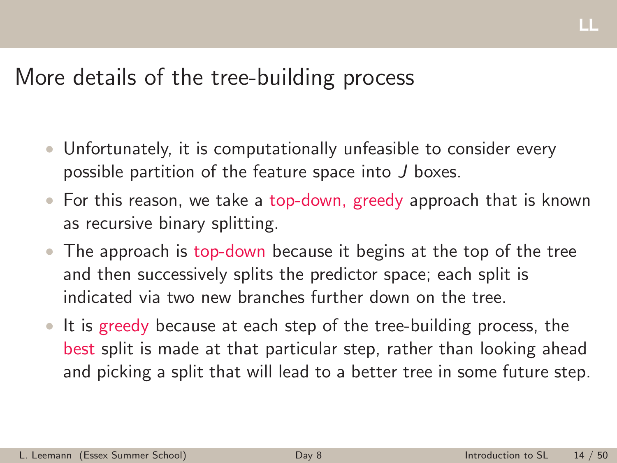## More details of the tree-building process

- Unfortunately, it is computationally unfeasible to consider every possible partition of the feature space into J boxes.
- For this reason, we take a top-down, greedy approach that is known as recursive binary splitting.
- The approach is top-down because it begins at the top of the tree and then successively splits the predictor space; each split is indicated via two new branches further down on the tree.
- It is greedy because at each step of the tree-building process, the best split is made at that particular step, rather than looking ahead and picking a split that will lead to a better tree in some future step.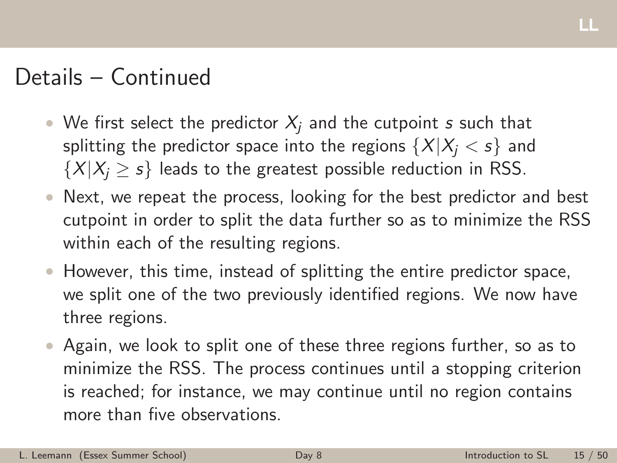### Details – Continued

- We first select the predictor  $X_i$  and the cutpoint s such that splitting the predictor space into the regions  $\{X|X_i < s\}$  and  $\{X|X_i \geq s\}$  leads to the greatest possible reduction in RSS.
- Next, we repeat the process, looking for the best predictor and best cutpoint in order to split the data further so as to minimize the RSS within each of the resulting regions.
- However, this time, instead of splitting the entire predictor space, we split one of the two previously identified regions. We now have three regions.
- Again, we look to split one of these three regions further, so as to minimize the RSS. The process continues until a stopping criterion is reached; for instance, we may continue until no region contains more than five observations.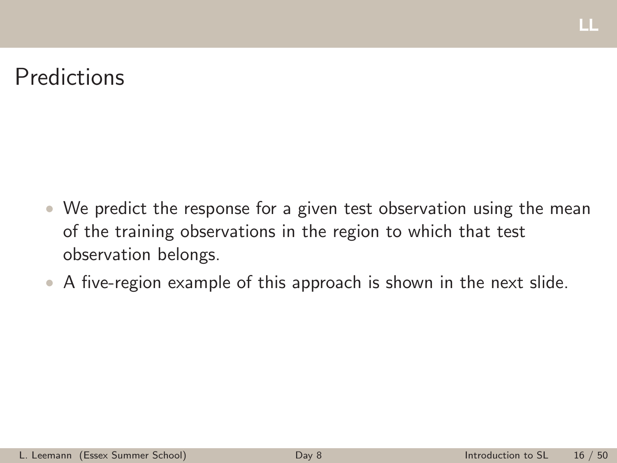## Predictions

- We predict the response for a given test observation using the mean of the training observations in the region to which that test observation belongs.
- A five-region example of this approach is shown in the next slide.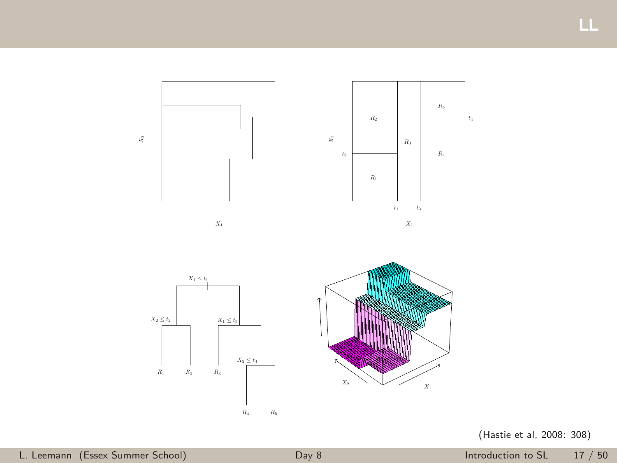



(Hastie et al, 2008: 308)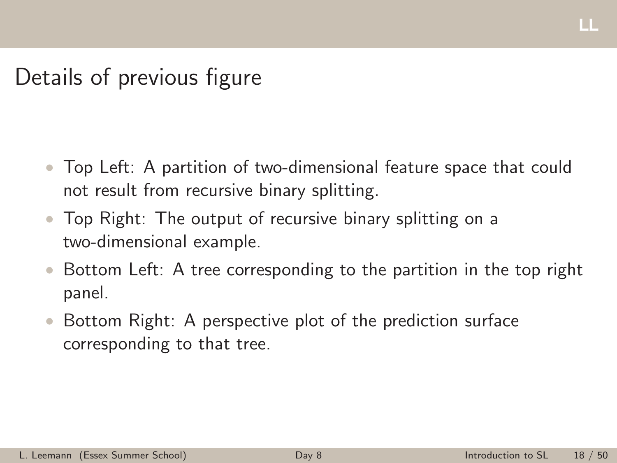Details of previous figure

- Top Left: A partition of two-dimensional feature space that could not result from recursive binary splitting.
- Top Right: The output of recursive binary splitting on a two-dimensional example.
- Bottom Left: A tree corresponding to the partition in the top right panel.
- Bottom Right: A perspective plot of the prediction surface corresponding to that tree.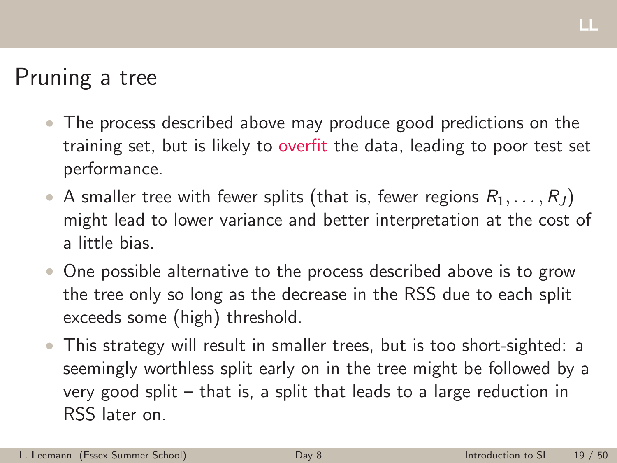#### Pruning a tree

- The process described above may produce good predictions on the training set, but is likely to overfit the data, leading to poor test set performance.
- A smaller tree with fewer splits (that is, fewer regions  $R_1, \ldots, R_J$ ) might lead to lower variance and better interpretation at the cost of a little bias.
- One possible alternative to the process described above is to grow the tree only so long as the decrease in the RSS due to each split exceeds some (high) threshold.
- This strategy will result in smaller trees, but is too short-sighted: a seemingly worthless split early on in the tree might be followed by a very good split – that is, a split that leads to a large reduction in RSS later on.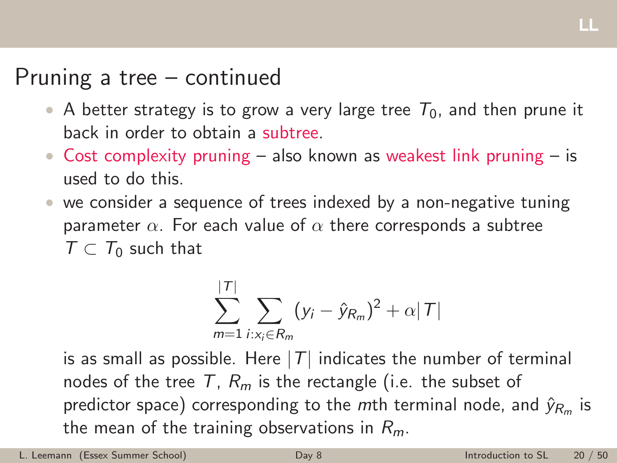### Pruning a tree – continued

- A better strategy is to grow a very large tree  $T_0$ , and then prune it back in order to obtain a subtree.
- Cost complexity pruning also known as weakest link pruning is used to do this.
- we consider a sequence of trees indexed by a non-negative tuning parameter  $\alpha$ . For each value of  $\alpha$  there corresponds a subtree  $T \subset T_0$  such that

$$
\sum_{m=1}^{\left|T\right|}\sum_{i:x_{i}\in R_{m}}(y_{i}-\hat{y}_{R_{m}})^{2}+\alpha\left|T\right|
$$

is as small as possible. Here  $|T|$  indicates the number of terminal nodes of the tree T,  $R_m$  is the rectangle (i.e. the subset of predictor space) corresponding to the  $m$ th terminal node, and  $\hat{y}_{R_m}$  is the mean of the training observations in  $R_m$ .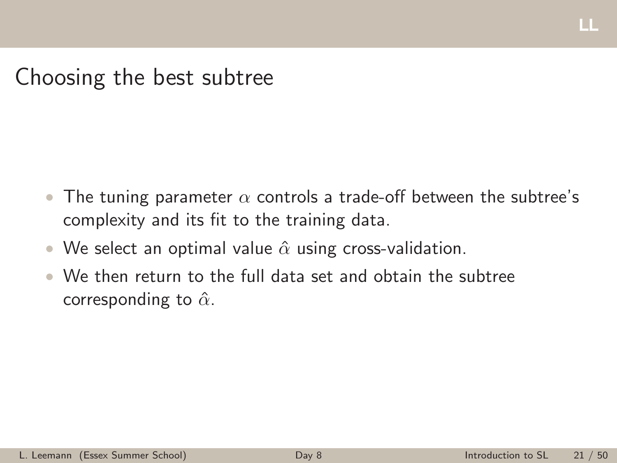## Choosing the best subtree

- The tuning parameter  $\alpha$  controls a trade-off between the subtree's complexity and its fit to the training data.
- We select an optimal value  $\hat{\alpha}$  using cross-validation.
- We then return to the full data set and obtain the subtree corresponding to  $\hat{\alpha}$ .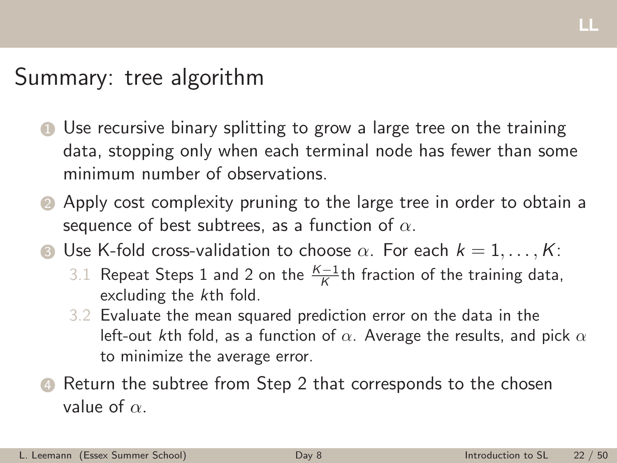## Summary: tree algorithm

- **1** Use recursive binary splitting to grow a large tree on the training data, stopping only when each terminal node has fewer than some minimum number of observations.
- 2 Apply cost complexity pruning to the large tree in order to obtain a sequence of best subtrees, as a function of  $\alpha$ .
- **3** Use K-fold cross-validation to choose  $\alpha$ . For each  $k = 1, ..., K$ :
	- 3.1 Repeat Steps 1 and 2 on the  $\frac{K-1}{K}$ th fraction of the training data, excluding the kth fold.
	- 3.2 Evaluate the mean squared prediction error on the data in the left-out kth fold, as a function of  $\alpha$ . Average the results, and pick  $\alpha$ to minimize the average error.
- **4** Return the subtree from Step 2 that corresponds to the chosen value of  $\alpha$ .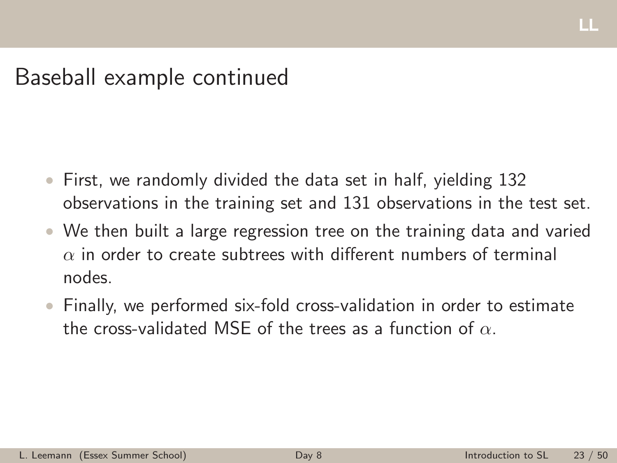#### LL

## Baseball example continued

- First, we randomly divided the data set in half, yielding 132 observations in the training set and 131 observations in the test set.
- We then built a large regression tree on the training data and varied  $\alpha$  in order to create subtrees with different numbers of terminal nodes.
- Finally, we performed six-fold cross-validation in order to estimate the cross-validated MSE of the trees as a function of  $\alpha$ .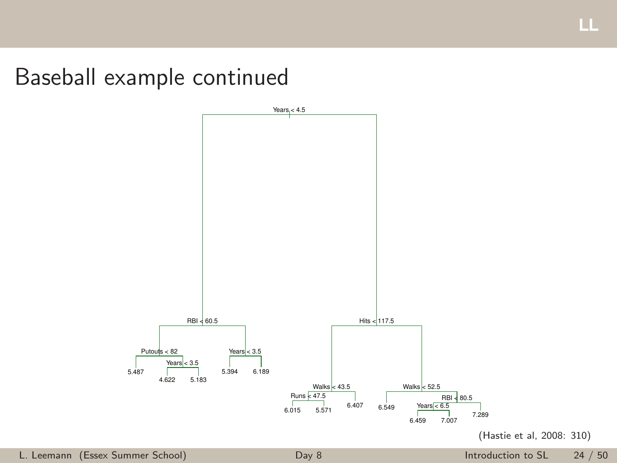### Baseball example continued

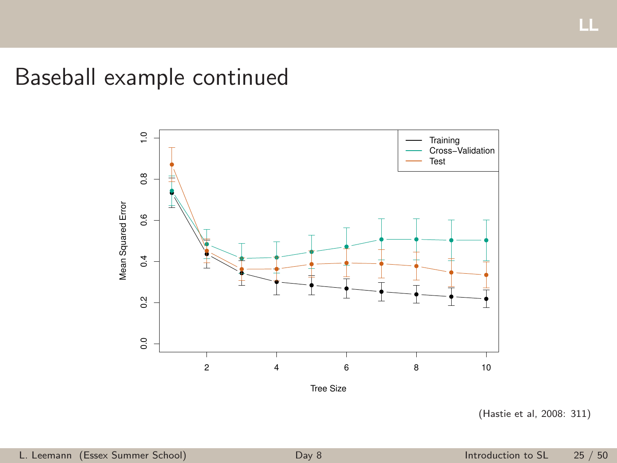Baseball example continued



Tree Size

<sup>(</sup>Hastie et al, 2008: 311)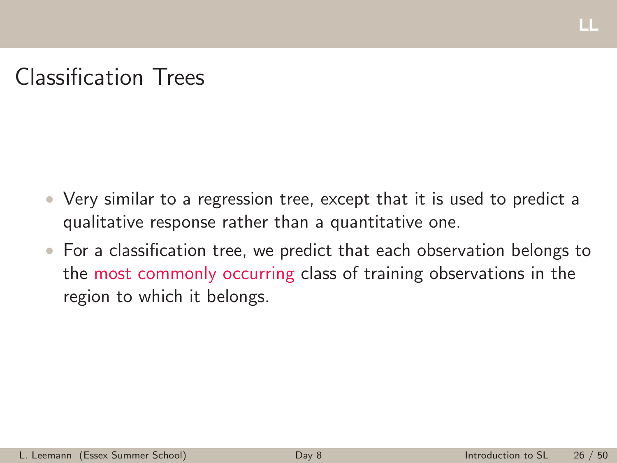## Classification Trees

- Very similar to a regression tree, except that it is used to predict a qualitative response rather than a quantitative one.
- For a classification tree, we predict that each observation belongs to the most commonly occurring class of training observations in the region to which it belongs.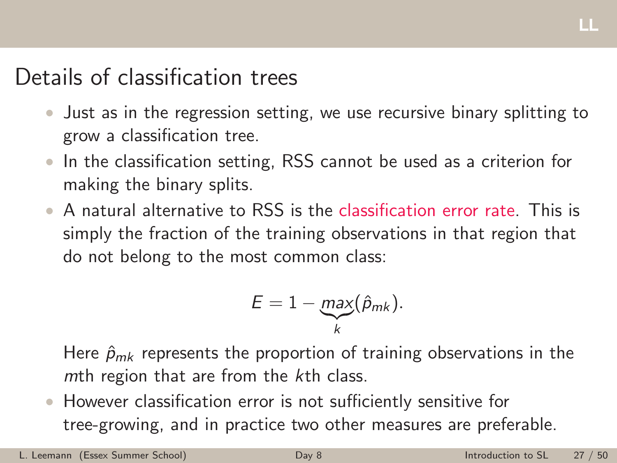### Details of classification trees

- Just as in the regression setting, we use recursive binary splitting to grow a classification tree.
- In the classification setting, RSS cannot be used as a criterion for making the binary splits.
- A natural alternative to RSS is the classification error rate. This is simply the fraction of the training observations in that region that do not belong to the most common class:

$$
E=1-\max_k(\hat{p}_{mk}).
$$

Here  $\hat{p}_{mk}$  represents the proportion of training observations in the mth region that are from the kth class.

• However classification error is not sufficiently sensitive for tree-growing, and in practice two other measures are preferable.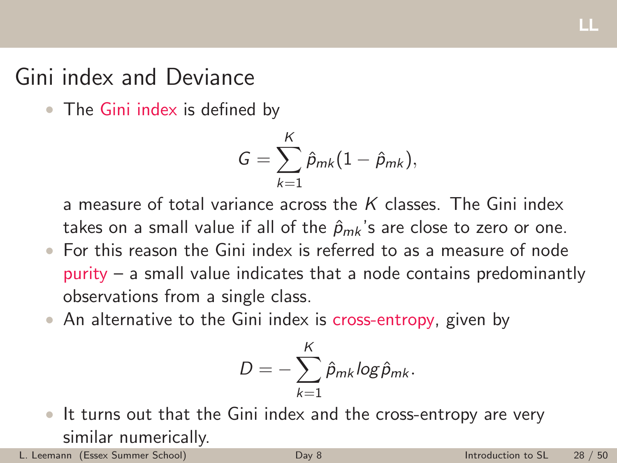## Gini index and Deviance

• The Gini index is defined by

$$
G=\sum_{k=1}^K \hat\rho_{mk}(1-\hat\rho_{mk}),
$$

a measure of total variance across the  $K$  classes. The Gini index takes on a small value if all of the  $\hat{p}_{mk}$ 's are close to zero or one.

- For this reason the Gini index is referred to as a measure of node purity – a small value indicates that a node contains predominantly observations from a single class.
- An alternative to the Gini index is cross-entropy, given by

$$
D=-\sum_{k=1}^K\hat{p}_{mk}\log\hat{p}_{mk}.
$$

• It turns out that the Gini index and the cross-entropy are very similar numerically.

L. Leemann (Essex Summer School) [Day 8](#page-0-0) Introduction to SL 28 / 50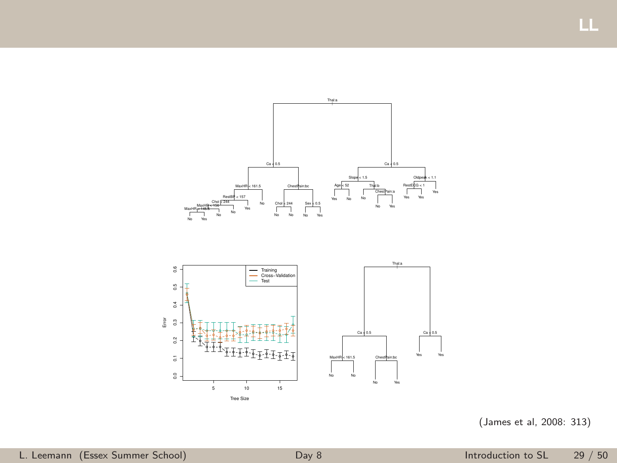

<sup>(</sup>James et al, 2008: 313)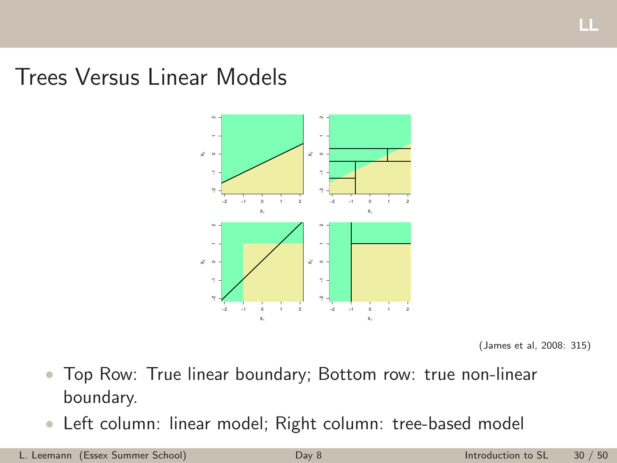#### Trees Versus Linear Models



- Top Row: True linear boundary; Bottom row: true non-linear boundary.
- Left column: linear model; Right column: tree-based model

<sup>(</sup>James et al, 2008: 315)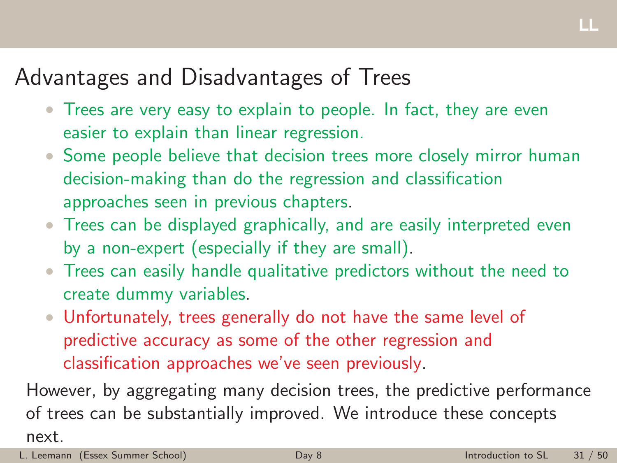## Advantages and Disadvantages of Trees

- Trees are very easy to explain to people. In fact, they are even easier to explain than linear regression.
- Some people believe that decision trees more closely mirror human decision-making than do the regression and classification approaches seen in previous chapters.
- Trees can be displayed graphically, and are easily interpreted even by a non-expert (especially if they are small).
- Trees can easily handle qualitative predictors without the need to create dummy variables.
- Unfortunately, trees generally do not have the same level of predictive accuracy as some of the other regression and classification approaches we've seen previously.

However, by aggregating many decision trees, the predictive performance of trees can be substantially improved. We introduce these concepts

next.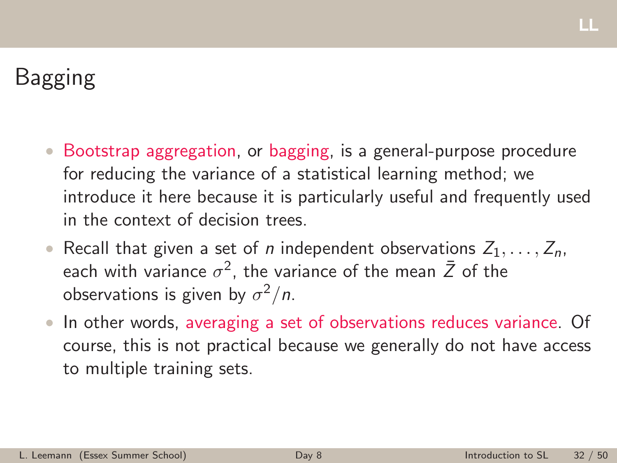# <span id="page-31-0"></span>Bagging

- Bootstrap aggregation, or bagging, is a general-purpose procedure for reducing the variance of a statistical learning method; we introduce it here because it is particularly useful and frequently used in the context of decision trees.
- Recall that given a set of *n* independent observations  $Z_1, \ldots, Z_n$ , each with variance  $\sigma^2$ , the variance of the mean  $\bar{Z}$  of the observations is given by  $\sigma^2/n$ .
- In other words, averaging a set of observations reduces variance. Of course, this is not practical because we generally do not have access to multiple training sets.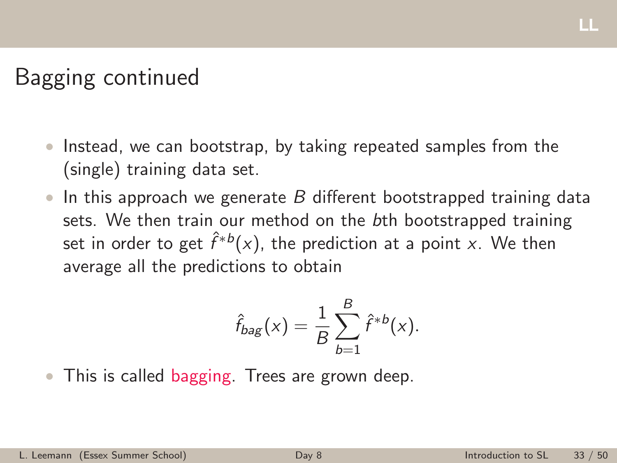#### LL

### Bagging continued

- Instead, we can bootstrap, by taking repeated samples from the (single) training data set.
- In this approach we generate  $B$  different bootstrapped training data sets. We then train our method on the bth bootstrapped training set in order to get  $\hat{f}^{*b}(x)$ , the prediction at a point  $x.$  We then average all the predictions to obtain

$$
\hat{f}_{\text{bag}}(x) = \frac{1}{B} \sum_{b=1}^{B} \hat{f}^{*b}(x).
$$

• This is called bagging. Trees are grown deep.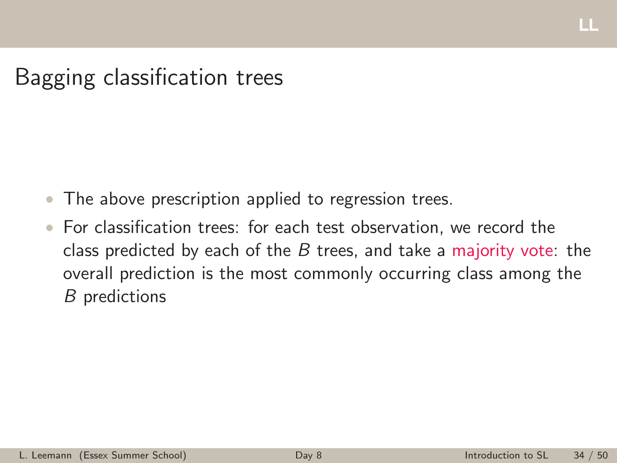## Bagging classification trees

- The above prescription applied to regression trees.
- For classification trees: for each test observation, we record the class predicted by each of the  $B$  trees, and take a majority vote: the overall prediction is the most commonly occurring class among the B predictions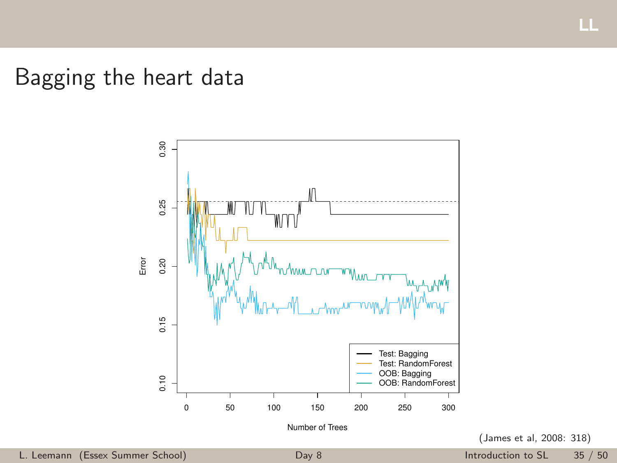Bagging the heart data



(James et al, 2008: 318)

LL

L. Leemann (Essex Summer School) [Day 8](#page-0-0) Introduction to SL 35 / 50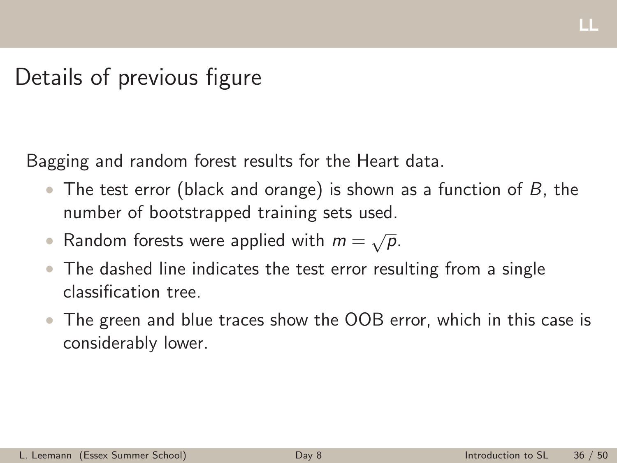## Details of previous figure

Bagging and random forest results for the Heart data.

- The test error (black and orange) is shown as a function of  $B$ , the number of bootstrapped training sets used.
- Random forests were applied with  $m = \sqrt{p}$ .
- The dashed line indicates the test error resulting from a single classification tree.
- The green and blue traces show the OOB error, which in this case is considerably lower.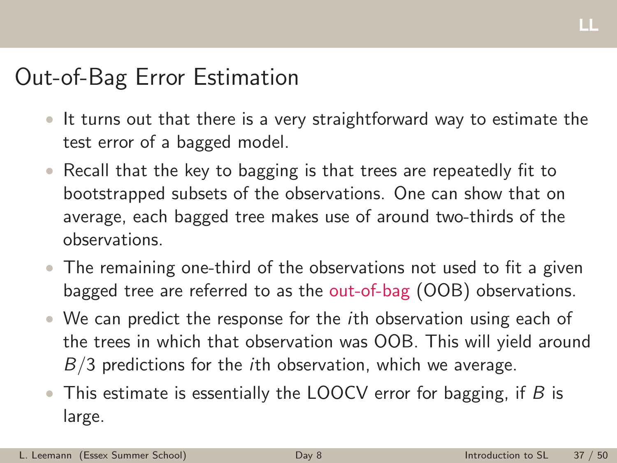## Out-of-Bag Error Estimation

- It turns out that there is a very straightforward way to estimate the test error of a bagged model.
- Recall that the key to bagging is that trees are repeatedly fit to bootstrapped subsets of the observations. One can show that on average, each bagged tree makes use of around two-thirds of the observations.
- The remaining one-third of the observations not used to fit a given bagged tree are referred to as the out-of-bag (OOB) observations.
- We can predict the response for the *i*th observation using each of the trees in which that observation was OOB. This will yield around  $B/3$  predictions for the *i*th observation, which we average.
- This estimate is essentially the LOOCV error for bagging, if  $B$  is large.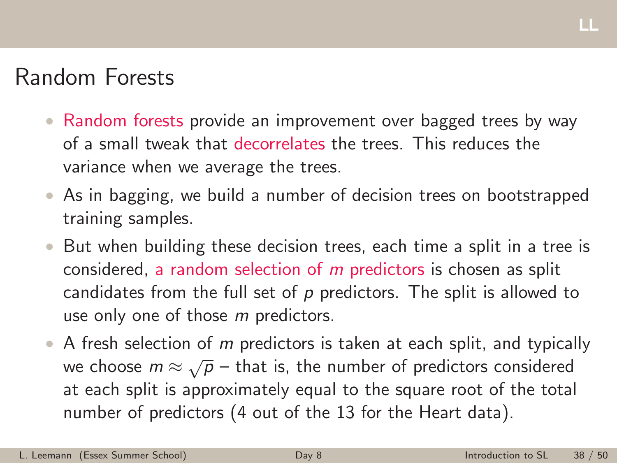#### LL

### Random Forests

- Random forests provide an improvement over bagged trees by way of a small tweak that decorrelates the trees. This reduces the variance when we average the trees.
- As in bagging, we build a number of decision trees on bootstrapped training samples.
- But when building these decision trees, each time a split in a tree is considered, a random selection of m predictors is chosen as split candidates from the full set of  $p$  predictors. The split is allowed to use only one of those m predictors.
- A fresh selection of  $m$  predictors is taken at each split, and typically we choose  $m \approx \sqrt{p}$  – that is, the number of predictors considered at each split is approximately equal to the square root of the total number of predictors (4 out of the 13 for the Heart data).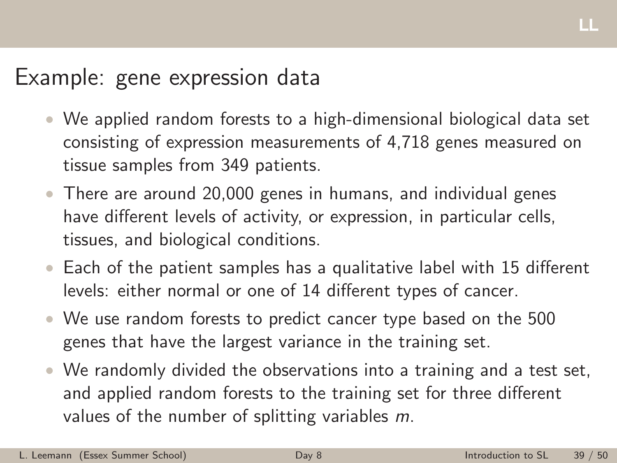### Example: gene expression data

- We applied random forests to a high-dimensional biological data set consisting of expression measurements of 4,718 genes measured on tissue samples from 349 patients.
- There are around 20,000 genes in humans, and individual genes have different levels of activity, or expression, in particular cells, tissues, and biological conditions.
- Each of the patient samples has a qualitative label with 15 different levels: either normal or one of 14 different types of cancer.
- We use random forests to predict cancer type based on the 500 genes that have the largest variance in the training set.
- We randomly divided the observations into a training and a test set, and applied random forests to the training set for three different values of the number of splitting variables m.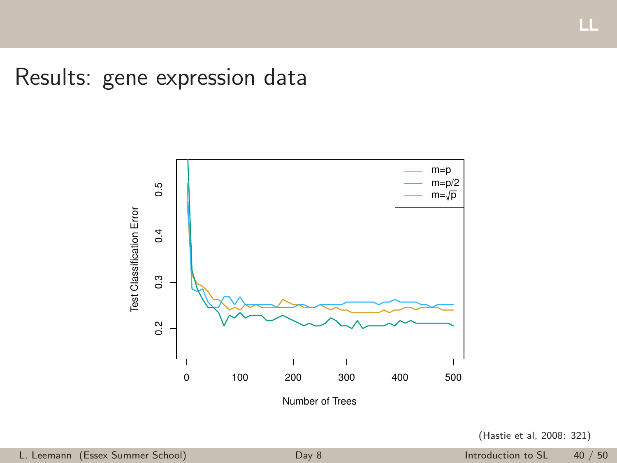### Results: gene expression data



(Hastie et al, 2008: 321)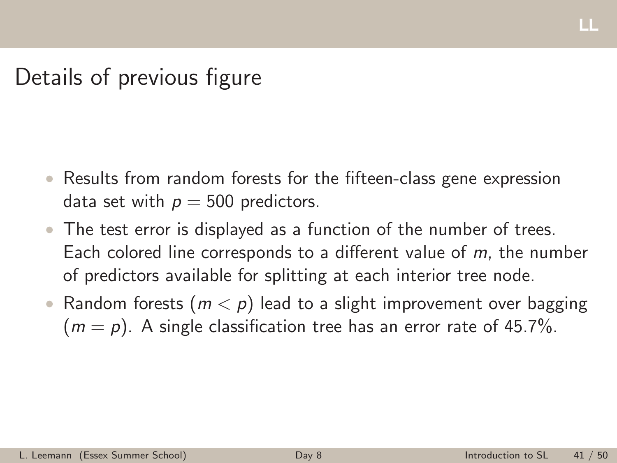Details of previous figure

- Results from random forests for the fifteen-class gene expression data set with  $p = 500$  predictors.
- The test error is displayed as a function of the number of trees. Each colored line corresponds to a different value of m, the number of predictors available for splitting at each interior tree node.
- Random forests  $(m < p)$  lead to a slight improvement over bagging  $(m = p)$ . A single classification tree has an error rate of 45.7%.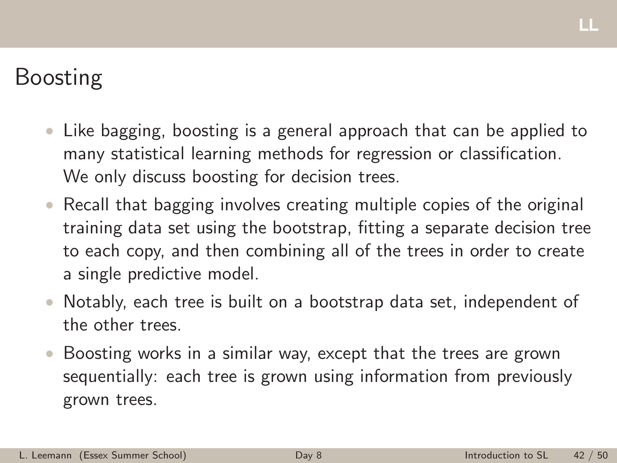#### LL

## <span id="page-41-0"></span>Boosting

- Like bagging, boosting is a general approach that can be applied to many statistical learning methods for regression or classification. We only discuss boosting for decision trees.
- Recall that bagging involves creating multiple copies of the original training data set using the bootstrap, fitting a separate decision tree to each copy, and then combining all of the trees in order to create a single predictive model.
- Notably, each tree is built on a bootstrap data set, independent of the other trees.
- Boosting works in a similar way, except that the trees are grown sequentially: each tree is grown using information from previously grown trees.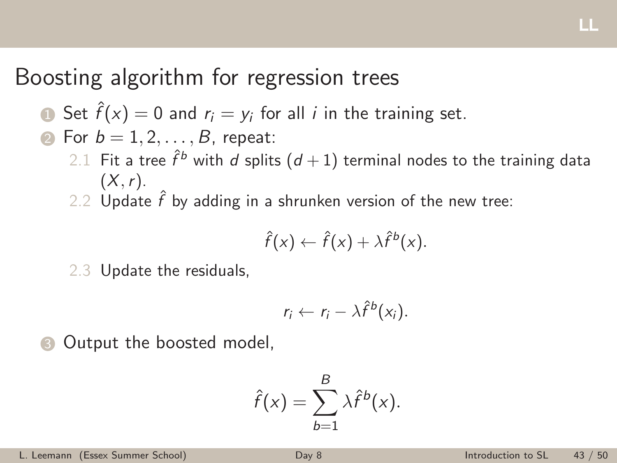Boosting algorithm for regression trees

• Set 
$$
\hat{f}(x) = 0
$$
 and  $r_i = y_i$  for all *i* in the training set.

• For 
$$
b = 1, 2, \ldots, B
$$
, repeat:

- $2.1\,$  Fit a tree  $\hat{f}^b$  with  $d$  splits  $(d+1)$  terminal nodes to the training data  $(X, r)$ .
- 2.2 Update  $\hat{f}$  by adding in a shrunken version of the new tree:

$$
\hat{f}(x) \leftarrow \hat{f}(x) + \lambda \hat{f}^b(x).
$$

2.3 Update the residuals,

$$
r_i \leftarrow r_i - \lambda \hat{f}^b(x_i).
$$

**3** Output the boosted model,

$$
\hat{f}(x) = \sum_{b=1}^{B} \lambda \hat{f}^b(x).
$$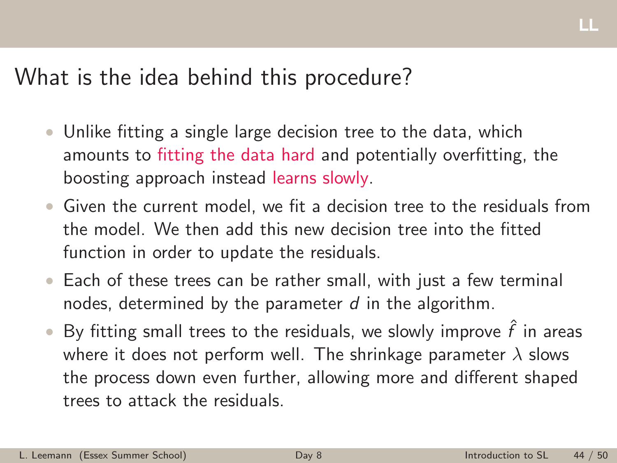### What is the idea behind this procedure?

- Unlike fitting a single large decision tree to the data, which amounts to fitting the data hard and potentially overfitting, the boosting approach instead learns slowly.
- Given the current model, we fit a decision tree to the residuals from the model. We then add this new decision tree into the fitted function in order to update the residuals.
- Each of these trees can be rather small, with just a few terminal nodes, determined by the parameter  $d$  in the algorithm.
- $\bullet\,$  By fitting small trees to the residuals, we slowly improve  $\hat{f}$  in areas where it does not perform well. The shrinkage parameter  $\lambda$  slows the process down even further, allowing more and different shaped trees to attack the residuals.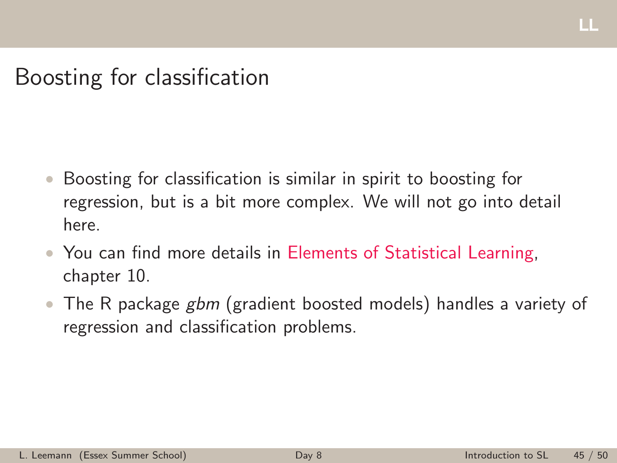#### LL

### Boosting for classification

- Boosting for classification is similar in spirit to boosting for regression, but is a bit more complex. We will not go into detail here.
- You can find more details in Elements of Statistical Learning, chapter 10.
- The R package *gbm* (gradient boosted models) handles a variety of regression and classification problems.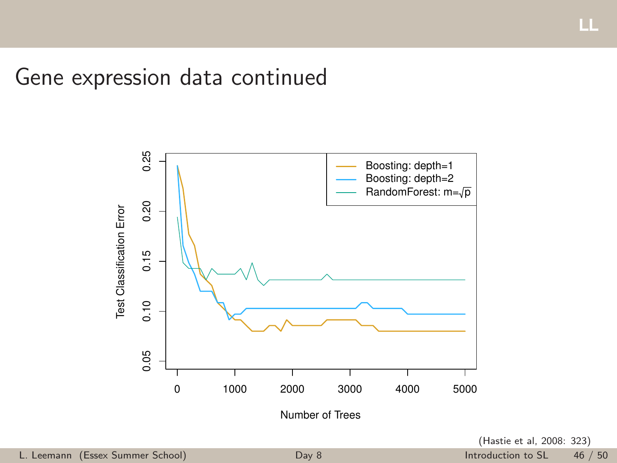#### Gene expression data continued



(Hastie et al, 2008: 323)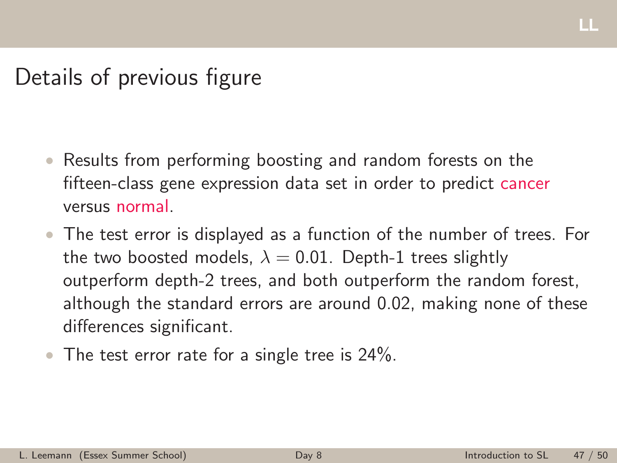Details of previous figure

- Results from performing boosting and random forests on the fifteen-class gene expression data set in order to predict cancer versus normal.
- The test error is displayed as a function of the number of trees. For the two boosted models,  $\lambda = 0.01$ . Depth-1 trees slightly outperform depth-2 trees, and both outperform the random forest, although the standard errors are around 0.02, making none of these differences significant.
- The test error rate for a single tree is 24%.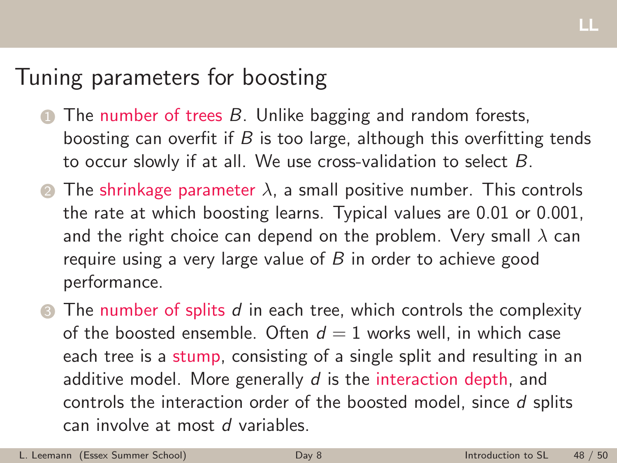## Tuning parameters for boosting

- $\bullet$  The number of trees B. Unlike bagging and random forests, boosting can overfit if  $B$  is too large, although this overfitting tends to occur slowly if at all. We use cross-validation to select B.
- **2** The shrinkage parameter  $\lambda$ , a small positive number. This controls the rate at which boosting learns. Typical values are 0.01 or 0.001, and the right choice can depend on the problem. Very small  $\lambda$  can require using a very large value of  $B$  in order to achieve good performance.
- $\bullet$  The number of splits d in each tree, which controls the complexity of the boosted ensemble. Often  $d = 1$  works well, in which case each tree is a stump, consisting of a single split and resulting in an additive model. More generally d is the interaction depth, and controls the interaction order of the boosted model, since d splits can involve at most d variables.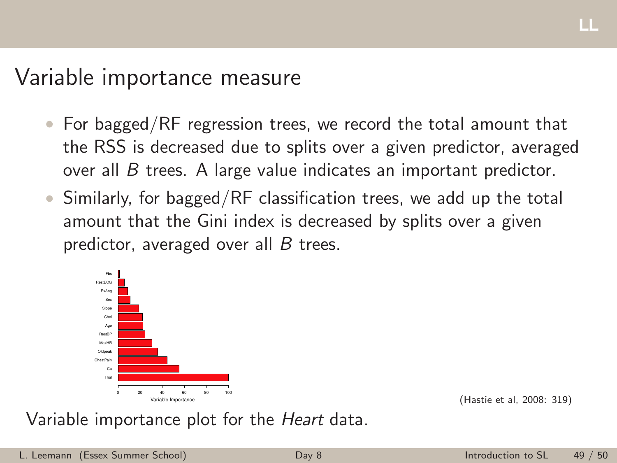#### Variable importance measure

- For bagged/RF regression trees, we record the total amount that the RSS is decreased due to splits over a given predictor, averaged over all B trees. A large value indicates an important predictor.
- Similarly, for bagged/RF classification trees, we add up the total amount that the Gini index is decreased by splits over a given predictor, averaged over all  $B$  trees.



(Hastie et al. 2008: 319)

Variable importance plot for the *Heart* data.